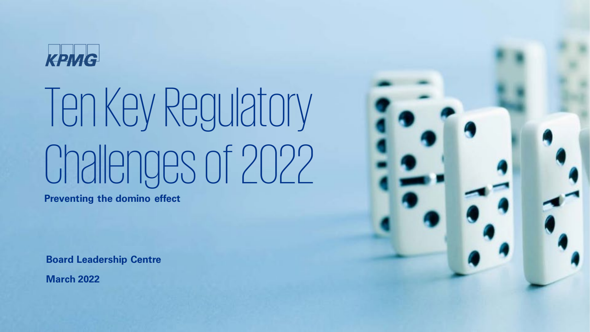

# Ten Key Regulatory Challenges of 2022

**Preventing the domino effect**

**Board Leadership Centre**

**March 2022**

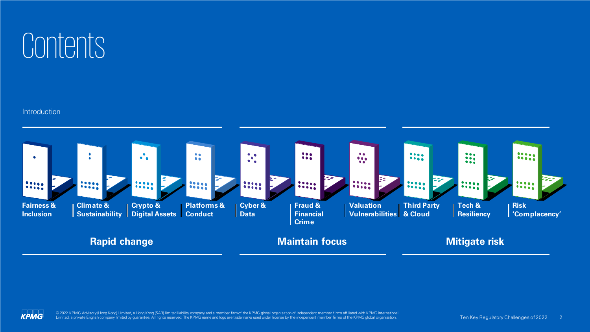

#### **Introduction**



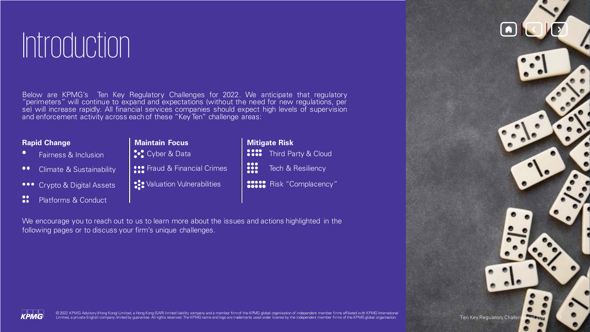# Introduction

Below are KPMG's Ten Key Regulatory Challenges for 2022. We anticipate that regulatory "perimeters" will continue to expand and expectations (without the need for new regulations, per se) will increase rapidly. All financial services companies should expect high levels of supervision and enforcement activity across each of these "Key Ten" challenge areas:

#### **Rapid Change**

- Fairness & Inclusion
- Climate & Sustainability  $\bullet \bullet$
- **•••** Crypto & Digital Assets
- $\frac{1}{2}$ Platforms & Conduct
- **Maintain Focus Cyber & Data SPS** Fraud & Financial Crimes
- **SI** Valuation Vulnerabilities
- **Mitigate Risk**  $\frac{0000}{0000}$ Third Party & Cloud 88 Tech & Resiliency **Besse** Risk "Complacency"

We encourage you to reach out to us to learn more about the issues and actions highlighted in the following pages or to discuss your firm's unique challenges.



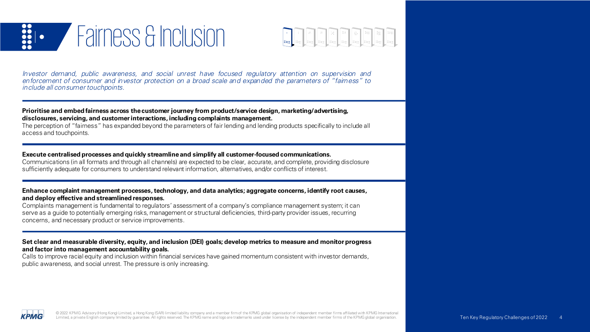



Investor demand, public awareness, and social unrest have focused regulatory attention on supervision and en forcement of consumer and investor protection on a broad scale and expanded the parameters of "fairness" to include all consumer touchpoints.

**Prioritise and embed fairness across thecustomer journey from product/service design, marketing/advertising, disclosures, servicing, and customerinteractions, including complaints management.**

The perception of "fairness" has expanded beyond the parameters of fair lending and lending products specifically to include all access and touchpoints.

**Execute centralised processes and quickly streamlineand simplify all customer-focused communications.**

Communications (in all formats and through all channels) are expected to be clear, accurate, and complete, providing disclosure sufficiently adequate for consumers to understand relevant information, alternatives, and/or conflicts of interest.

**Enhance complaint management processes,technology, and data analytics; aggregate concerns, identify root causes, and deploy effective and streamlined responses.**

Complaints management is fundamental to regulators' assessment of a company's compliance management system; it can serve as a guide to potentially emerging risks, management or structural deficiencies, third-party provider issues, recurring concerns, and necessary product or service improvements.

Set clear and measurable diversity, equity, and inclusion (DEI) goals; develop metrics to measure and monitor progress **and factor into management accountability goals.**

Calls to improve racial equity and inclusion within financial services have gained momentum consistent with investor demands, public awareness, and social unrest. The pressure is only increasing.

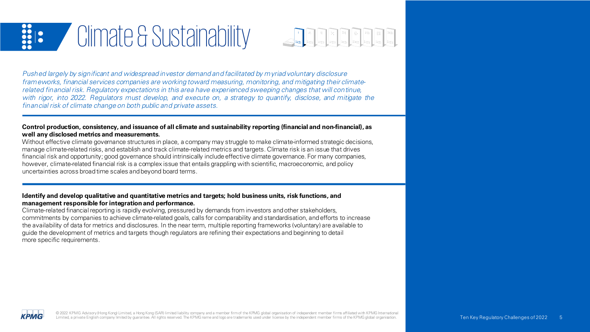



Pushed largely by significant and widespread investor demand and facilitated by m yriad voluntary disclosure frameworks, financial services companies are working toward measuring, monitoring, and mitigating their climaterelated financial risk. Regulatory expectations in this area have experienced sweeping changes that will con tinue, with rigor, into 2022. Regulators must develop, and execute on, a strategy to quantify, disclose, and mitigate the financial risk of climate change on both public and private assets.

#### Control production, consistency, and issuance of all climate and sustainability reporting (financial and non-financial), as **well any disclosed metrics and measurements.**

Without effective climate governance structures in place, a company may struggle to make climate-informed strategic decisions, manage climate-related risks, and establish and track climate-related metrics and targets. Climate risk is an issue that drives financial risk and opportunity; good governance should intrinsically include effective climate governance. For many companies, however, climate-related financial risk is a complex issue that entails grappling with scientific, macroeconomic, and policy uncertainties across broadtime scales andbeyond board terms.

#### **Identify and develop qualitative and quantitative metrics and targets; hold business units, risk functions, and management responsible for integration and performance.**

Climate-related financial reporting is rapidly evolving, pressured by demands from investors and other stakeholders, commitments by companies to achieve climate-related goals, calls for comparability and standardisation, andefforts to increase the availability of data for metrics and disclosures. In the near term, multiple reporting frameworks (voluntary) are available to guide the development of metrics and targets though regulators are refining their expectations and beginning to detail more specific requirements.

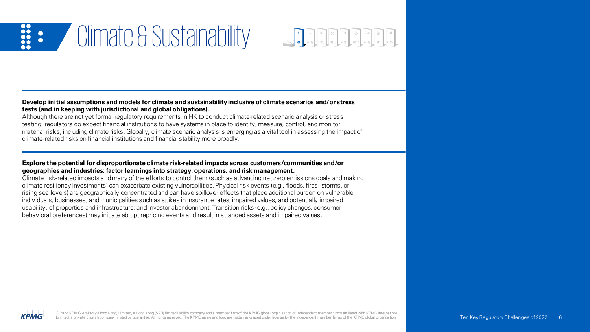

#### **Develop initial assumptions and models for climate and sustainabilityinclusive of climate scenarios and/or stress tests (and in keeping with jurisdictional and global obligations).**

Although there are not yet formal regulatory requirements in HK to conduct climate-related scenario analysis or stress testing, regulators do expect financial institutions to have systems in place to identify, measure, control, and monitor material risks, including climate risks. Globally, climate scenario analysis is emerging as a vital tool in assessing the impact of climate-related risks on financial institutions and financial stability more broadly.

#### **Explore the potential for disproportionate climate risk-related impacts across customers/communities and/or geographies and industries; factor learnings into strategy, operations, and risk management.**

Climate risk-related impacts andmany of the efforts to control them (such as advancing net zero emissions goals and making climate resiliency investments) can exacerbate existing vulnerabilities. Physical risk events (e.g., floods, fires, storms, or rising sea levels) are geographically concentrated and can have spillover effects that place additional burden on vulnerable individuals, businesses, andmunicipalities such as spikes in insurance rates; impaired values, and potentially impaired usability, of properties and infrastructure; and investor abandonment. Transition risks (e.g., policy changes, consumer behavioral preferences) may initiate abrupt repricing events and result in stranded assets and impaired values.

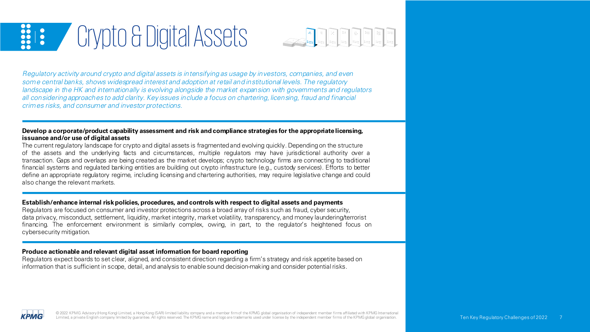# **EXECT** Crypto & Digital Assets



Regulatory activity around crypto and digital assets is in tensifying as usage by investors, companies, and even some central banks, shows widespread interest and adoption at retail and institutional levels. The regulatory landscape in the HK and internationally is evolving alongside the market expansion with governments and regulators all considering approaches to add clarity. Key issues include a focus on chartering, licensing, fraud and financial crimes risks, and consumer and investor protections.

#### **Develop a corporate/product capability assessment and risk and compliance strategies for the appropriatelicensing, issuance and/or use of digital assets**

The current regulatory landscape for crypto and digital assets is fragmentedand evolving quickly. Dependingon the structure of the assets and the underlying facts and circumstances, multiple regulators may have jurisdictional authority over a transaction. Gaps and overlaps are being created as the market develops; crypto technology firms are connecting to traditional financial systems and regulated banking entities are building out crypto infrastructure (e.g., custody services). Efforts to better define an appropriate regulatory regime, including licensing and chartering authorities, may require legislative change and could also change the relevant markets.

#### **Establish/enhance internal riskpolicies, procedures, and controls with respect to digital assets and payments**

Regulators are focused on consumer and investor protections across a broad array of risks such as fraud, cyber security, data privacy, misconduct, settlement, liquidity, market integrity, market volatility, transparency, and money laundering/terrorist financing. The enforcement environment is similarly complex, owing, in part, to the regulator's heightened focus on cybersecurity mitigation.

#### **Produce actionable and relevant digital asset information for board reporting**

Regulators expect boards to set clear, aligned, and consistent direction regarding a firm's strategy and risk appetite based on information that is sufficient in scope, detail, and analysis to enablesound decision-making and consider potentialrisks.

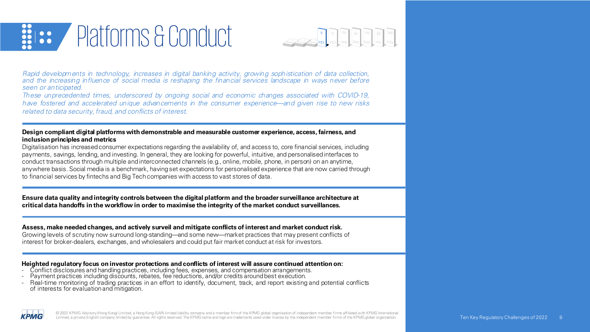### Platforms & Conduct  $\frac{1}{20}$



Rapid developments in technology, increases in digital banking activity, growing sophistication of data collection, and the increasing in fluence of social media is reshaping the financial services landscape in ways never before seen or an ticipated.

These unprecedented times, underscored by ongoing social and economic changes associated with COVID-19, have fostered and accelerated unique advancements in the consumer experience—and given rise to new risks related to data security, fraud, and conflicts of interest.

#### **Design compliant digital platforms with demonstrable and measurable customer experience, access, fairness, and inclusion principles and metrics**

Digitalisation has increasedconsumer expectations regarding the availability of, and access to, core financial services, including payments, savings, lending, and investing. In general, they are looking for powerful, intuitive, and personalisedinterfaces to conduct transactions through multiple andinterconnected channels (e.g., online, mobile, phone, in person) on an anytime, anywhere basis. Social media is a benchmark, havingset expectations for personalised experience that are now carried through to financial services by fintechs and Big Techcompanies with access to vast stores of data.

Ensure data quality and integrity controls between the digital platform and the broader surveillance architecture at critical data handoffs in the workflow in order to maximise the integrity of the market conduct surveillances.

#### **Assess, make needed changes, and actively surveil and mitigate conflicts of interest and market conduct risk.**

Growing levels of scrutiny now surround long-standing—and some new—market practices that may present conflicts of interest for broker-dealers, exchanges, and wholesalers and could put fair market conduct at risk for investors.

### **Heighted regulatory focus on investor protections and conflicts of interest will assure continued attention on:**<br>- Conflict disclosures and handling practices, including fees, expenses, and compensation arrangements.<br>- Pa

- 
- 
- Real-time monitoring of trading practices in an effort to identify, document, track, and report existing and potential conflicts of interests for evaluationand mitigation.

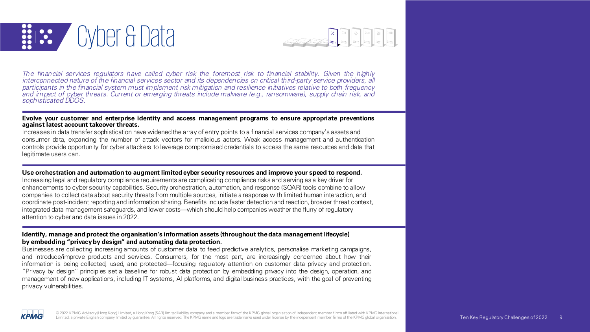



The financial services regulators have called cyber risk the foremost risk to financial stability. Given the highly interconnected nature of the financial services sector and its dependencies on critical third-party service providers, all participants in the financial system must implement risk mitigation and resilience initiatives relative to both frequency and impact of cyber threats. Current or emerging threats include malware (e.g., ransomware), supply chain risk, and sophisticated DDOS.

#### **Evolve your customer and enterprise identity and access management programs to ensure appropriate preventions against latest account takeover threats.**

Increases in data transfer sophistication have widened the array of entry points to a financial services company's assets and consumer data, expanding the number of attack vectors for malicious actors. Weak access management and authentication controls provide opportunity for cyber attackers to leverage compromised credentials to access the same resources and data that legitimate users can.

#### **Use orchestration and automation to augment limited cyber security resources and improve your speed to respond.**

Increasing legal and regulatory compliance requirements are complicating compliance risks and serving as a key driver for enhancements to cyber security capabilities. Security orchestration, automation, and response (SOAR) tools combine to allow companies to collect data about security threats from multiple sources, initiate a response with limited human interaction, and coordinate post-incident reporting and information sharing. Benefits include faster detection and reaction, broader threat context, integrated data management safeguards, and lower costs—which should help companies weather the flurry of regulatory attention to cyber and data issues in 2022.

#### **Identify, manage and protect the organisation's information assets (throughout thedata management lifecycle) by embedding "privacyby design" and automating data protection.**

Businesses are collecting increasing amounts of customer data to feed predictive analytics, personalise marketing campaigns, and introduce/improve products and services. Consumers, for the most part, are increasingly concerned about how their information is being collected, used, and protected—focusing regulatory attention on customer data privacy and protection. "Privacy by design" principles set a baseline for robust data protection by embedding privacy into the design, operation, and management of new applications, including IT systems, AI platforms, and digital business practices, with the goal of preventing privacy vulnerabilities.

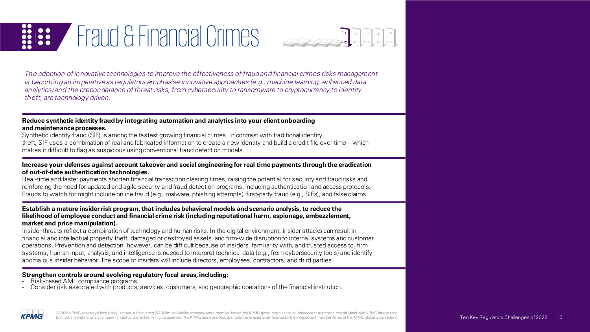



The adoption of innovative technologies to improve the effectiveness of fraud and financial crimes risks management is becom ing an imperative as regulators emphasise innovative approaches (e.g., machine learning, enhanced data analytics) and the preponderance of threat risks, from cybersecurity to ransomware to cryptocurrency to identity theft, are technology-driven.

#### **Reduce synthetic identity fraud by integrating automation and analytics into your clientonboarding and maintenanceprocesses.**

Synthetic identity fraud (SIF) is among the fastest growing financial crimes. In contrast with traditional identity theft, SIF uses a combination of real andfabricated information to create a new identity and build a credit file over time—which makes it difficult to flag as suspicious usingconventional fraud detection models.

#### Increase your defenses against account takeover and social engineering for real time payments through the eradication **of out-of-date authentication technologies.**

Real-time and faster payments shorten financial transaction clearing times, raising the potential for security and fraudrisks and reinforcing the need for updated and agile security andfraud detection programs, including authentication and access protocols. Frauds to watch for might include online fraud (e.g., malware, phishing attempts), first-party fraud (e.g., SIFs), and falseclaims.

#### **Establish a mature insiderrisk program,that includes behavioral models and scenario analysis,to reduce the likelihood of employee conduct and financial crime risk (including reputational harm, espionage, embezzlement, market and price manipulation).**

Insider threats reflect a combination of technology and human risks. In the digital environment, insider attacks can result in financial and intellectual property theft, damaged or destroyed assets, and firm-wide disruptionto internal systems andcustomer operations. Prevention and detection, however, can be difficult because of insiders' familiarity with, andtrusted access to, firm systems; human input, analysis, and intelligence is needed to interpret technical data (e.g., from cybersecurity tools) and identify anomalous insider behavior. The scope of insiders will include directors, employees, contractors, and third parties.

- 
- **Strengthen controls around evolving regulatory focal areas, including:**<br>- Risk-based AML compliance programs.<br>- Consider risk associated with products, services, customers, and geographic operations of the financial insti

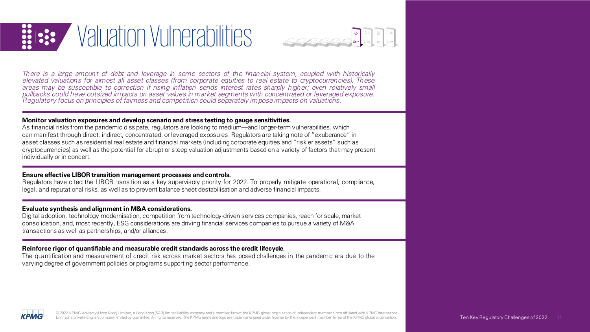



There is a large amount of debt and leverage in some sectors of the financial system, coupled with historically elevated valuations for almost all asset classes (from corporate equities to real estate to cryptocurrencies). These areas may be susceptible to correction if rising inflation sends interest rates sharply higher; even relatively small Pullatory focus on principles of fairness and competition could separately impose impacts on valuations.

#### **Monitor valuation exposures and develop scenario and stress testing to gauge sensitivities.**

As financial risks from the pandemic dissipate, regulators are looking to medium—and longer-term vulnerabilities, which can manifest through direct, indirect, concentrated, or leveraged exposures. Regulators are taking note of "exuberance" in asset classes such as residential real estate and financial markets (includingcorporate equities and "riskier assets" such as cryptocurrencies) as well as the potential for abrupt or steep valuation adjustments based on a variety of factors that may present individually or in concert.

#### **Ensure effective LIBOR transition management processes and controls.**

Regulators have cited the LIBOR transition as a key supervisory priority for 2022. To properly mitigate operational, compliance, legal, and reputational risks, as well as to prevent balance sheet destabilisation and adverse financial impacts.

#### **Evaluate synthesis and alignment in M&A considerations.**

Digital adoption, technology modernisation, competition from technology-driven services companies, reach for scale, market consolidation, and, most recently, ESG considerations are driving financial services companies to pursue a variety of M&A transactions as well as partnerships, and/or alliances.

#### **Reinforce rigor of quantifiable and measurable credit standards across the credit lifecycle.**

The quantification and measurement of credit risk across market sectors has posed challenges in the pandemic era due to the varying degree of government policies or programs supporting sector performance.

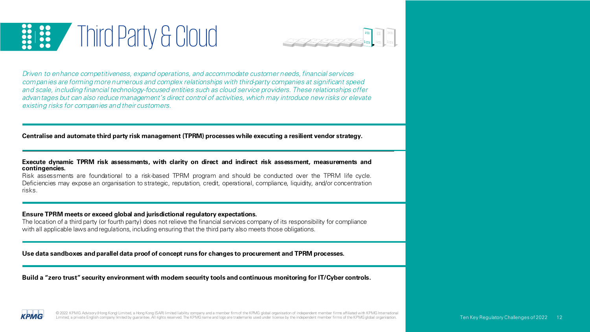### **ISS** / Third Party & Cloud  $\frac{1}{20}$



Driven to enhance competitiveness, expand operations, and accommodate customer needs, financial services companies are forming more numerous and complex relationships with third-party companies at significant speed and scale, including financial technology-focused entities such as cloud service providers. These relationships offer advan tages but can also reduce management's direct control of activities, which may introduce new risks or elevate existing risks for companies and their customers.

**Centralise and automate third party risk management (TPRM) processes while executing a resilient vendor strategy.**

#### **Execute dynamic TPRM risk assessments, with clarity on direct and indirect risk assessment, measurements and contingencies.**

Risk assessments are foundational to a risk-based TPRM program and should be conducted over the TPRM life cycle. Deficiencies may expose an organisation to strategic, reputation, credit, operational, compliance, liquidity, and/or concentration risks.

#### **Ensure TPRM meets or exceed global and jurisdictional regulatory expectations.**

The location of a third party (or fourth party) does not relieve the financial services company of its responsibility for compliance with all applicable laws andregulations, including ensuring that the third party also meets those obligations.

**Use data sandboxes and parallel data proof of concept runs for changes to procurement and TPRM processes.**

**Build a "zero trust"security environment with modern security tools and continuous monitoring for IT/Cyber controls.**

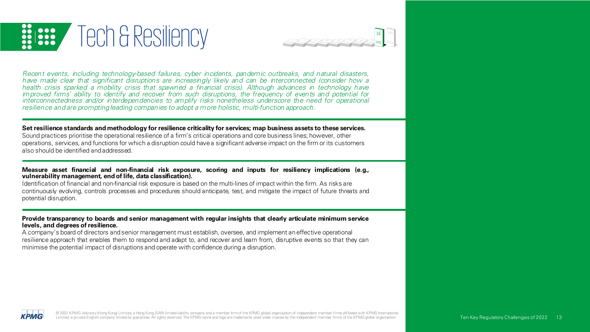



Recent events, including technology-based failures, cyber incidents, pandemic outbreaks, and natural disasters, have made clear that significant disruptions are increasingly likely and can be interconnected (consider how a health crisis sparked a mobility crisis that spawned a financial crisis). Although advances in technology have improved firms' ability to identify and recover from such disruptions, the frequency of even ts and potential for interconnectedness and/or in terdependencies to amplify risks nonetheless underscore the need for operational resilience and are prompting leading companies to adopt a more holistic, multi-function approach.

#### Set resilience standards and methodology for resilience criticality for services; map business assets to these services.

Sound practices prioritise the operational resilience of a firm's critical operations and core business lines; however, other operations, services, and functions for which a disruption could havea significant adverse impact on the firm or its customers also should be identified andaddressed.

#### **Measure asset financial and non-financial risk exposure, scoring and inputs for resiliency implications (e.g., vulnerability management, end of life, data classification).**

Identification of financial and non-financial risk exposure is based on the multi-lines of impact within the firm. As risks are continuously evolving, controls processes and procedures should anticipate, test, and mitigate the impact of future threats and potential disruption.

#### **Provide transparency to boards and senior management with regular insights that clearly articulate minimum service levels, and degrees of resilience.**

A company's board of directors andsenior management must establish, oversee, and implement aneffective operational resilience approach that enables them to respond and adapt to, and recover and learn from, disruptive events so that they can minimise the potential impact of disruptions and operate with confidence during a disruption.

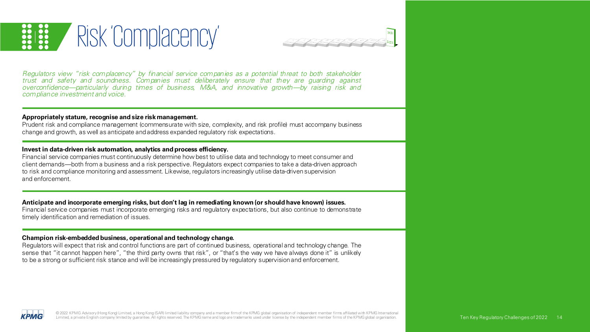



Regulators view "risk complacency" by financial service companies as a potential th reat to both stakeholder trust and safety and soundness. Companies must deliberately ensure that they are guarding against overconfidence—particularly during times of business, M&A, and innovative growth—by raising risk and compliance investment and voice.

#### **Appropriately stature, recognise and size riskmanagement.**

Prudent risk and compliance management (commensurate with size, complexity, and risk profile) must accompany business change and growth, as well as anticipate andaddress expanded regulatory risk expectations.

#### **Invest in data-driven risk automation, analytics and process efficiency.**

Financial service companies must continuously determine how best to utilise data and technology to meet consumer and client demands—both from a business and a risk perspective. Regulators expect companies to take a data-driven approach to risk and compliance monitoring and assessment. Likewise, regulators increasingly utilise data-drivensupervision and enforcement.

#### **Anticipate and incorporate emerging risks, but don't lag in remediating known (or should have known) issues.**

Financial service companies must incorporate emerging risks and regulatory expectations, but also continue to demonstrate timely identification and remediation of issues.

#### **Champion risk-embedded business, operational and technology change.**

Regulators will expect that risk and control functions are part of continued business, operational and technology change. The sense that "it cannot happen here", "the third party owns that risk", or "that's the way we have always done it" is unlikely to be a strong or sufficient risk stance and will be increasingly pressured by regulatory supervisionand enforcement.

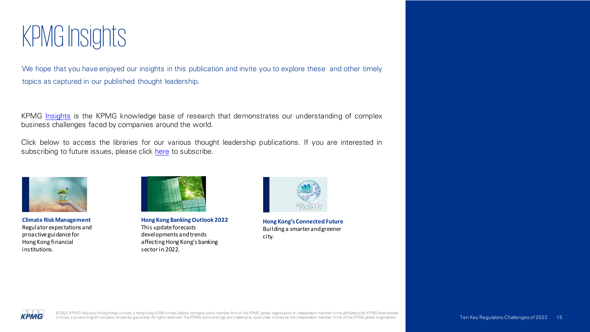### KPMG Insights

We hope that you have enjoyed our insights in this publication and invite you to explore these and other timely topics as captured in our published thought leadership.

KPMG [Insights](https://home.kpmg/cn/en/home/insights.html) is the KPMG knowledge base of research that demonstrates our understanding of complex business challenges faced by companies around the world.

Click below to access the libraries for our various thought leadership publications. If you are interested in subscribing to future issues, please click [here](https://home.kpmg/cn/en/home/subscriptions.html) to subscribe.



**Climate Risk Management** Regulator expectations and proactive guidance for Hong Kong financial institutions.



**Hong Kong Banking Outlook 2022** This update forecasts developments and trends affecting Hong Kong's banking sector in 2022.



**Hong Kong's Connected Future** Building a smarter and greener city.